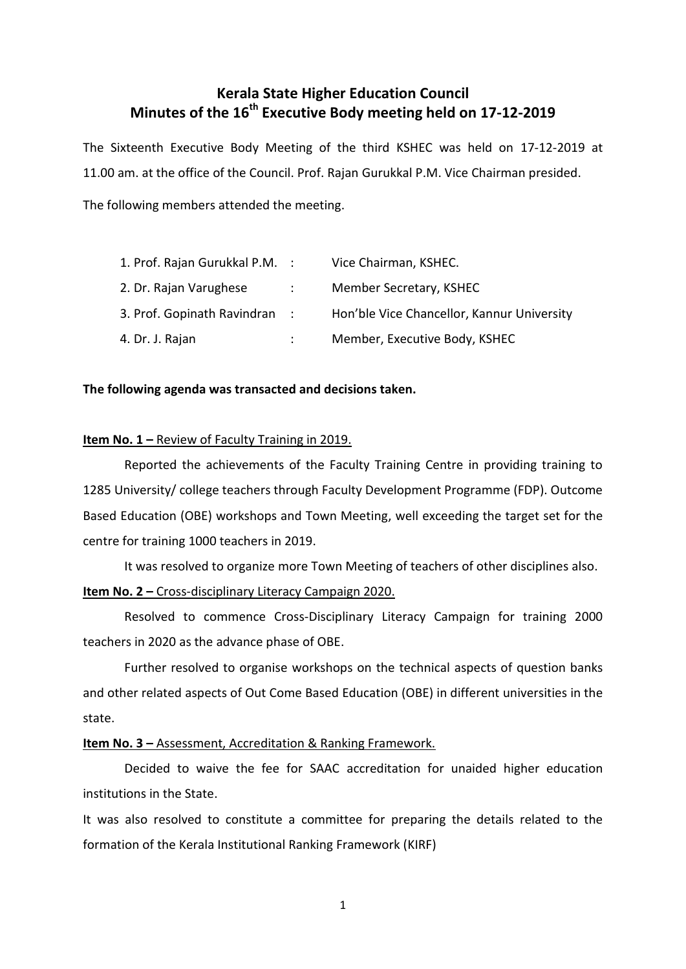# **Kerala State Higher Education Council Minutes of the 16 th Executive Body meeting held on 17-12-2019**

The Sixteenth Executive Body Meeting of the third KSHEC was held on 17-12-2019 at 11.00 am. at the office of the Council. Prof. Rajan Gurukkal P.M. Vice Chairman presided.

The following members attended the meeting.

| 1. Prof. Rajan Gurukkal P.M. : |                          | Vice Chairman, KSHEC.                      |
|--------------------------------|--------------------------|--------------------------------------------|
| 2. Dr. Rajan Varughese         | $\sim 1000$ km s $^{-1}$ | Member Secretary, KSHEC                    |
| 3. Prof. Gopinath Ravindran :  |                          | Hon'ble Vice Chancellor, Kannur University |
| 4. Dr. J. Rajan                |                          | Member, Executive Body, KSHEC              |

## **The following agenda was transacted and decisions taken.**

### **Item No. 1 – Review of Faculty Training in 2019.**

Reported the achievements of the Faculty Training Centre in providing training to 1285 University/ college teachers through Faculty Development Programme (FDP). Outcome Based Education (OBE) workshops and Town Meeting, well exceeding the target set for the centre for training 1000 teachers in 2019.

It was resolved to organize more Town Meeting of teachers of other disciplines also.

# **Item No. 2 –** Cross-disciplinary Literacy Campaign 2020.

Resolved to commence Cross-Disciplinary Literacy Campaign for training 2000 teachers in 2020 as the advance phase of OBE.

Further resolved to organise workshops on the technical aspects of question banks and other related aspects of Out Come Based Education (OBE) in different universities in the state.

# **Item No. 3 – Assessment, Accreditation & Ranking Framework.**

Decided to waive the fee for SAAC accreditation for unaided higher education institutions in the State.

It was also resolved to constitute a committee for preparing the details related to the formation of the Kerala Institutional Ranking Framework (KIRF)

1